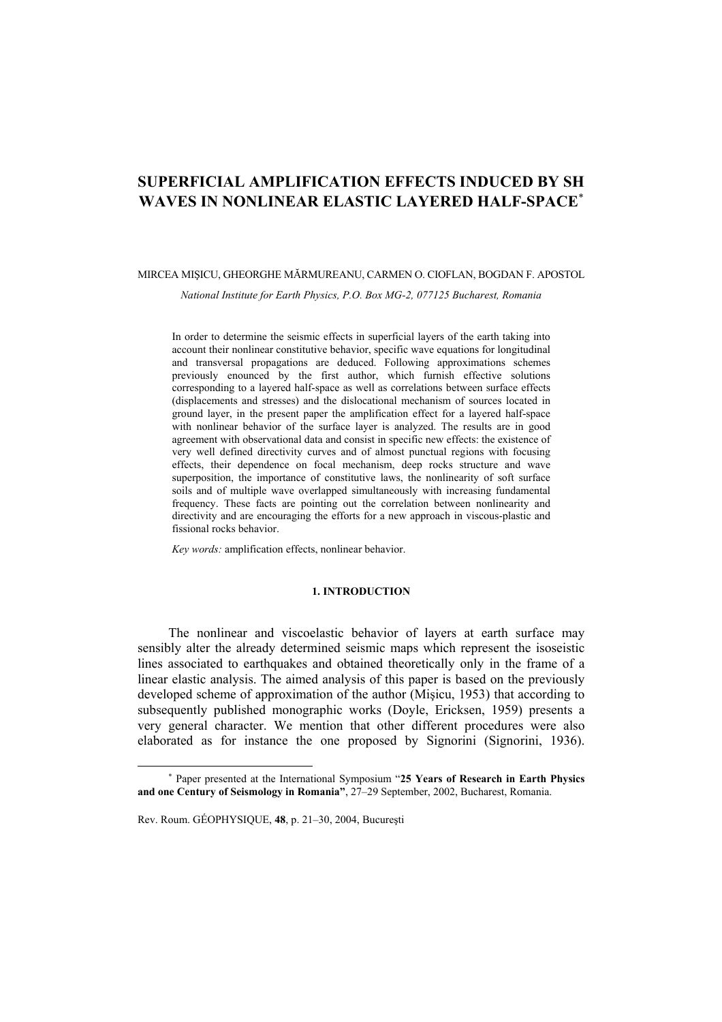# **SUPERFICIAL AMPLIFICATION EFFECTS INDUCED BY SH WAVES IN NONLINEAR ELASTIC LAYERED HALF-SPACE**<sup>∗</sup>

#### MIRCEA MIŞICU, GHEORGHE MĂRMUREANU, CARMEN O. CIOFLAN, BOGDAN F. APOSTOL

*National Institute for Earth Physics, P.O. Box MG-2, 077125 Bucharest, Romania* 

In order to determine the seismic effects in superficial layers of the earth taking into account their nonlinear constitutive behavior, specific wave equations for longitudinal and transversal propagations are deduced. Following approximations schemes previously enounced by the first author, which furnish effective solutions corresponding to a layered half-space as well as correlations between surface effects (displacements and stresses) and the dislocational mechanism of sources located in ground layer, in the present paper the amplification effect for a layered half-space with nonlinear behavior of the surface layer is analyzed. The results are in good agreement with observational data and consist in specific new effects: the existence of very well defined directivity curves and of almost punctual regions with focusing effects, their dependence on focal mechanism, deep rocks structure and wave superposition, the importance of constitutive laws, the nonlinearity of soft surface soils and of multiple wave overlapped simultaneously with increasing fundamental frequency. These facts are pointing out the correlation between nonlinearity and directivity and are encouraging the efforts for a new approach in viscous-plastic and fissional rocks behavior.

*Key words:* amplification effects, nonlinear behavior.

## **1. INTRODUCTION**

The nonlinear and viscoelastic behavior of layers at earth surface may sensibly alter the already determined seismic maps which represent the isoseistic lines associated to earthquakes and obtained theoretically only in the frame of a linear elastic analysis. The aimed analysis of this paper is based on the previously developed scheme of approximation of the author (Mişicu, 1953) that according to subsequently published monographic works (Doyle, Ericksen, 1959) presents a very general character. We mention that other different procedures were also elaborated as for instance the one proposed by Signorini (Signorini, 1936).

l

<sup>∗</sup> Paper presented at the International Symposium "**25 Years of Research in Earth Physics and one Century of Seismology in Romania"**, 27–29 September, 2002, Bucharest, Romania.

Rev. Roum. GÉOPHYSIQUE, **48**, p. 21–30, 2004, Bucureşti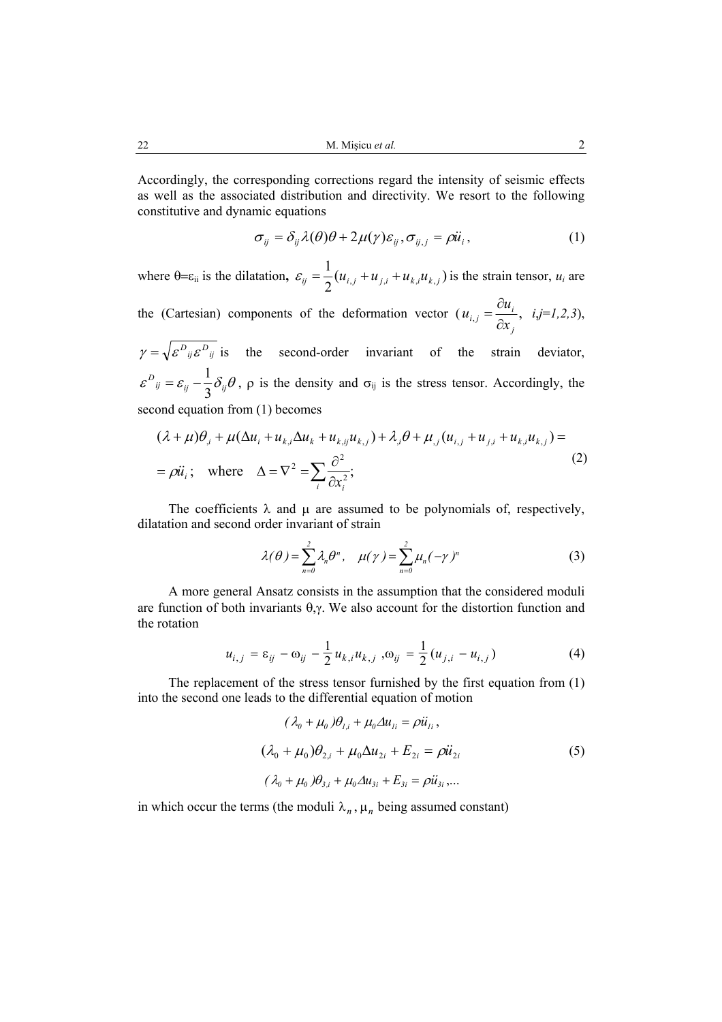Accordingly, the corresponding corrections regard the intensity of seismic effects as well as the associated distribution and directivity. We resort to the following constitutive and dynamic equations

$$
\sigma_{ij} = \delta_{ij} \lambda(\theta)\theta + 2\mu(\gamma)\varepsilon_{ij}, \sigma_{ij,j} = \rho \ddot{u}_i, \qquad (1)
$$

where  $\theta = \varepsilon_{ii}$  is the dilatation,  $\varepsilon_{ij} = \frac{1}{2} (u_{i,j} + u_{j,i} + u_{k,i} u_{k,j})$  is the strain tensor,  $u_i$  are

the (Cartesian) components of the deformation vector  $(u_{i,j} = \frac{\partial u_i}{\partial x_i},$ *j*  $i,j = \frac{\partial u_i}{\partial x_j}$  $u_{ij} = \frac{\partial u}{\partial x}$ ∂  $=\frac{\partial u_i}{\partial \rho}$ , *i*,*j*=*l*,2,3),

 $\gamma = \sqrt{\varepsilon^{D}_{ij} \varepsilon^{D}_{ij}}$  is the second-order invariant of the strain deviator,  $\varepsilon^{D}{}_{ij} = \varepsilon_{ij} - \frac{1}{3} \delta_{ij} \theta$  $= \varepsilon_{ii} - \frac{1}{2} \delta_{ii} \theta$ ,  $\rho$  is the density and  $\sigma_{ij}$  is the stress tensor. Accordingly, the second equation from (1) becomes

$$
(\lambda + \mu)\theta_{i} + \mu(\Delta u_{i} + u_{k,i}\Delta u_{k} + u_{k,j}u_{k,j}) + \lambda_{i}\theta + \mu_{j}(u_{i,j} + u_{j,i} + u_{k,i}u_{k,j}) =
$$
  
=  $\rho \ddot{u}_{i}$ ; where  $\Delta = \nabla^{2} = \sum_{i} \frac{\partial^{2}}{\partial x_{i}^{2}}$ ; (2)

The coefficients  $\lambda$  and  $\mu$  are assumed to be polynomials of, respectively, dilatation and second order invariant of strain

$$
\lambda(\theta) = \sum_{n=0}^{2} \lambda_n \theta^n, \quad \mu(\gamma) = \sum_{n=0}^{2} \mu_n (-\gamma)^n \tag{3}
$$

A more general Ansatz consists in the assumption that the considered moduli are function of both invariants  $\theta$ ,γ. We also account for the distortion function and the rotation

$$
u_{i,j} = \varepsilon_{ij} - \omega_{ij} - \frac{1}{2} u_{k,i} u_{k,j}, \omega_{ij} = \frac{1}{2} (u_{j,i} - u_{i,j})
$$
(4)

The replacement of the stress tensor furnished by the first equation from (1) into the second one leads to the differential equation of motion

$$
(\lambda_0 + \mu_0)\theta_{1,i} + \mu_0 \Delta u_{1i} = \rho \ddot{u}_{1i},
$$
  

$$
(\lambda_0 + \mu_0)\theta_{2,i} + \mu_0 \Delta u_{2i} + E_{2i} = \rho \ddot{u}_{2i}
$$
  

$$
(\lambda_0 + \mu_0)\theta_{3,i} + \mu_0 \Delta u_{3i} + E_{3i} = \rho \ddot{u}_{3i},...
$$
 (5)

in which occur the terms (the moduli  $\lambda_n$ ,  $\mu_n$  being assumed constant)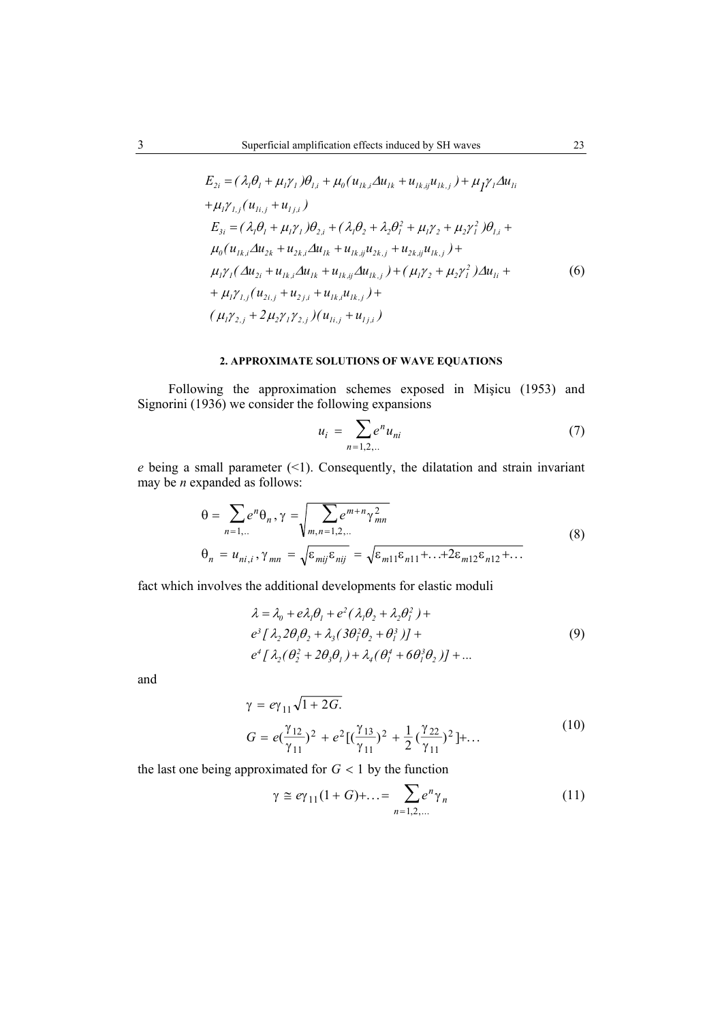$$
E_{2i} = (\lambda_i \theta_i + \mu_i \gamma_i) \theta_{1,i} + \mu_0 (u_{1k,i} \Delta u_{1k} + u_{1k,ij} u_{1k,j}) + \mu_1 \gamma_i \Delta u_{1i}
$$
  
+  $\mu_i \gamma_{1,j} (u_{1i,j} + u_{1j,i})$   

$$
E_{3i} = (\lambda_i \theta_i + \mu_i \gamma_i) \theta_{2,i} + (\lambda_i \theta_2 + \lambda_2 \theta_i^2 + \mu_i \gamma_2 + \mu_2 \gamma_i^2) \theta_{1,i} + \mu_0 (u_{1k,i} \Delta u_{2k} + u_{2k,i} \Delta u_{1k} + u_{1k,ij} u_{2k,j} + u_{2k,ij} u_{1k,j}) + \mu_i \gamma_i (\Delta u_{2i} + u_{1k,i} \Delta u_{1k} + u_{1k,ij} \Delta u_{1k,j}) + (\mu_i \gamma_2 + \mu_2 \gamma_i^2) \Delta u_{1i} + \mu_i \gamma_{1,j} (u_{2i,j} + u_{2j,i} + u_{1k,i} u_{1k,j}) + (\mu_i \gamma_{2,j} + 2 \mu_2 \gamma_1 \gamma_{2,j}) (u_{1i,j} + u_{1j,i})
$$
 (6)

## **2. APPROXIMATE SOLUTIONS OF WAVE EQUATIONS**

Following the approximation schemes exposed in Mişicu (1953) and Signorini (1936) we consider the following expansions

$$
u_i = \sum_{n=1,2,...} e^n u_{ni}
$$
 (7)

*e* being a small parameter (<1). Consequently, the dilatation and strain invariant may be *n* expanded as follows:

$$
\theta = \sum_{n=1,...} e^n \theta_n, \gamma = \sqrt{\sum_{m,n=1,2,...} e^{m+n} \gamma_{mn}^2}
$$
  
\n
$$
\theta_n = u_{ni,i}, \gamma_{mn} = \sqrt{\varepsilon_{mij} \varepsilon_{nij}} = \sqrt{\varepsilon_{m11} \varepsilon_{n11} + ... + 2\varepsilon_{m12} \varepsilon_{n12} + ...}
$$
\n(8)

fact which involves the additional developments for elastic moduli

$$
\lambda = \lambda_0 + e\lambda_1 \theta_1 + e^2 (\lambda_1 \theta_2 + \lambda_2 \theta_1^2) +
$$
  
\n
$$
e^3 [\lambda_2 2\theta_1 \theta_2 + \lambda_3 (3\theta_1^2 \theta_2 + \theta_1^3)] +
$$
  
\n
$$
e^4 [\lambda_2 (\theta_2^2 + 2\theta_3 \theta_1) + \lambda_4 (\theta_1^4 + 6\theta_1^3 \theta_2)] + ...
$$
\n(9)

and

$$
\gamma = e\gamma_{11}\sqrt{1+2G}.
$$
  
\n
$$
G = e(\frac{\gamma_{12}}{\gamma_{11}})^2 + e^2[(\frac{\gamma_{13}}{\gamma_{11}})^2 + \frac{1}{2}(\frac{\gamma_{22}}{\gamma_{11}})^2] + ...
$$
\n(10)

the last one being approximated for  $G < 1$  by the function

$$
\gamma \cong e\gamma_{11}(1+G)+\ldots = \sum_{n=1,2,\ldots} e^n \gamma_n \tag{11}
$$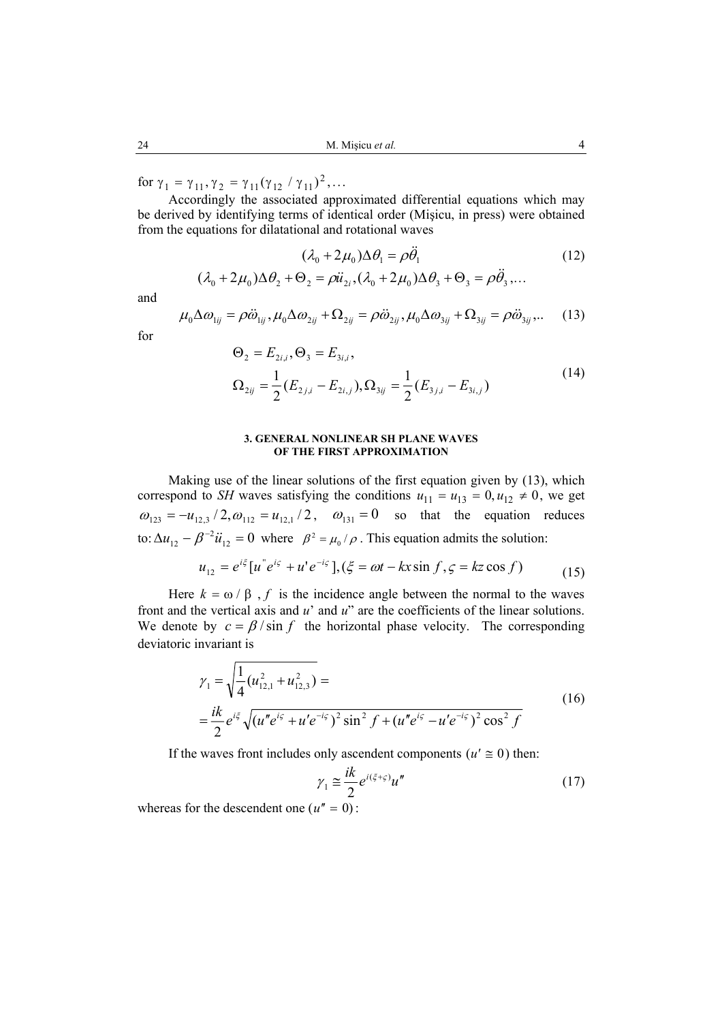for  $\gamma_1 = \gamma_{11}, \gamma_2 = \gamma_{11} (\gamma_{12} / \gamma_{11})^2, ...$ 

Accordingly the associated approximated differential equations which may be derived by identifying terms of identical order (Mişicu, in press) were obtained from the equations for dilatational and rotational waves

$$
(\lambda_0 + 2\mu_0)\Delta\theta_1 = \rho\ddot{\theta}_1
$$
  

$$
(\lambda_0 + 2\mu_0)\Delta\theta_2 + \Theta_2 = \rho\ddot{u}_{2i}, (\lambda_0 + 2\mu_0)\Delta\theta_3 + \Theta_3 = \rho\ddot{\theta}_3,...
$$
 (12)

and

$$
\mu_0 \Delta \omega_{1ij} = \rho \ddot{\omega}_{1ij}, \mu_0 \Delta \omega_{2ij} + \Omega_{2ij} = \rho \ddot{\omega}_{2ij}, \mu_0 \Delta \omega_{3ij} + \Omega_{3ij} = \rho \ddot{\omega}_{3ij}, \qquad (13)
$$

for

$$
\Theta_2 = E_{2i,i}, \Theta_3 = E_{3i,i},
$$
  
\n
$$
\Omega_{2ij} = \frac{1}{2} (E_{2j,i} - E_{2i,j}), \Omega_{3ij} = \frac{1}{2} (E_{3j,i} - E_{3i,j})
$$
\n(14)

#### **3. GENERAL NONLINEAR SH PLANE WAVES OF THE FIRST APPROXIMATION**

Making use of the linear solutions of the first equation given by (13), which correspond to *SH* waves satisfying the conditions  $u_{11} = u_{13} = 0, u_{12} \neq 0$ , we get  $\omega_{123} = -u_{12,3}/2$ ,  $\omega_{112} = u_{12,1}/2$ ,  $\omega_{131} = 0$  so that the equation reduces to:  $\Delta u_{12} - \beta^{-2} u_{12} = 0$  where  $\beta^2 = \mu_0 / \rho$ . This equation admits the solution:

$$
u_{12} = e^{i\xi} [u^{\dagger} e^{i\zeta} + u^{\dagger} e^{-i\zeta}], (\xi = \omega t - kx \sin f, \zeta = kz \cos f) \tag{15}
$$

Here  $k = \omega / \beta$ , *f* is the incidence angle between the normal to the waves front and the vertical axis and *u*' and *u*" are the coefficients of the linear solutions. We denote by  $c = \beta / \sin f$  the horizontal phase velocity. The corresponding deviatoric invariant is

$$
\gamma_1 = \sqrt{\frac{1}{4} (u_{12,1}^2 + u_{12,3}^2)} =
$$
\n
$$
= \frac{ik}{2} e^{i\xi} \sqrt{(u''e^{i\xi} + u'e^{-i\xi})^2 \sin^2 f + (u''e^{i\xi} - u'e^{-i\xi})^2 \cos^2 f}
$$
\n(16)

If the waves front includes only ascendent components ( $u' \equiv 0$ ) then:

$$
\gamma_1 \cong \frac{ik}{2} e^{i(\xi + \varsigma)} u'' \tag{17}
$$

whereas for the descendent one  $(u'' = 0)$ :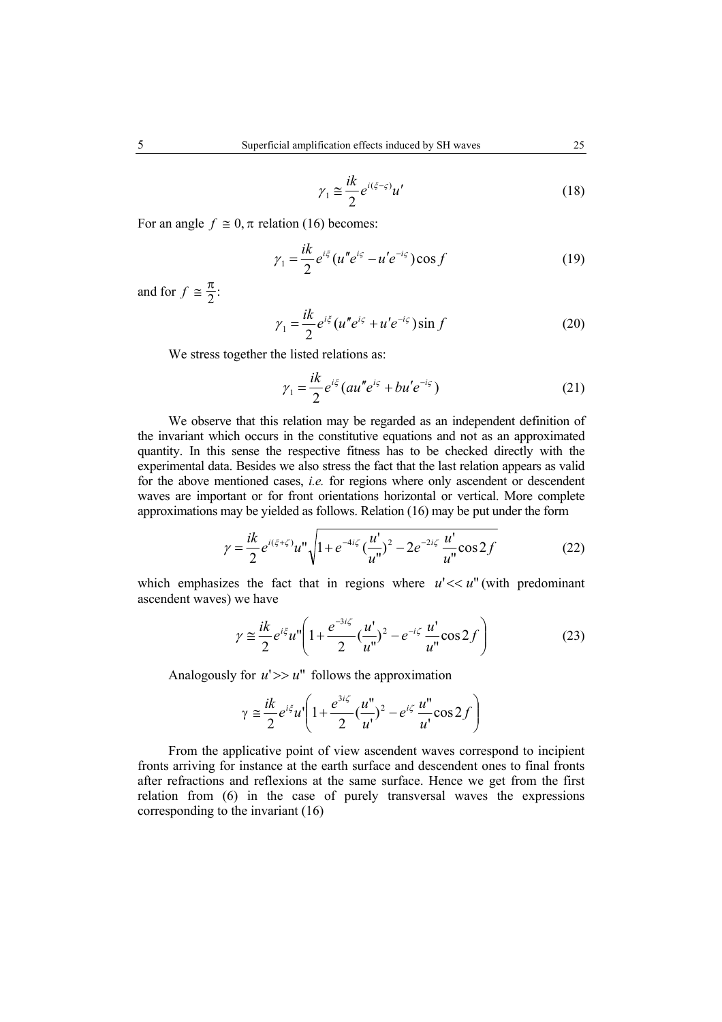$$
\gamma_1 \cong \frac{ik}{2} e^{i(\xi - \varsigma)} u'
$$
\n(18)

For an angle  $f \equiv 0$ ,  $\pi$  relation (16) becomes:

$$
\gamma_1 = \frac{ik}{2} e^{i\xi} (u'' e^{i\xi} - u' e^{-i\xi}) \cos f \tag{19}
$$

and for  $f \equiv \frac{\pi}{2}$ :

$$
\gamma_1 = \frac{ik}{2} e^{i\xi} (u'' e^{i\xi} + u' e^{-i\xi}) \sin f \tag{20}
$$

We stress together the listed relations as:

$$
\gamma_1 = \frac{ik}{2} e^{i\xi} \left( au'' e^{i\varsigma} + bu'e^{-i\varsigma} \right) \tag{21}
$$

We observe that this relation may be regarded as an independent definition of the invariant which occurs in the constitutive equations and not as an approximated quantity. In this sense the respective fitness has to be checked directly with the experimental data. Besides we also stress the fact that the last relation appears as valid for the above mentioned cases, *i.e.* for regions where only ascendent or descendent waves are important or for front orientations horizontal or vertical. More complete approximations may be yielded as follows. Relation (16) may be put under the form

$$
\gamma = \frac{ik}{2} e^{i(\xi + \zeta)} u'' \sqrt{1 + e^{-4i\zeta} \left(\frac{u'}{u''}\right)^2 - 2e^{-2i\zeta} \frac{u'}{u''}} \cos 2f
$$
 (22)

which emphasizes the fact that in regions where  $u' \ll u''$  (with predominant ascendent waves) we have

$$
\gamma \approx \frac{ik}{2} e^{i\xi} u'' \left( 1 + \frac{e^{-3i\zeta}}{2} \left( \frac{u'}{u''} \right)^2 - e^{-i\zeta} \frac{u'}{u''} \cos 2f \right)
$$
(23)

Analogously for  $u'>> u''$  follows the approximation

$$
\gamma \approx \frac{ik}{2} e^{i\xi} u' \left( 1 + \frac{e^{3i\zeta}}{2} \left( \frac{u''}{u'} \right)^2 - e^{i\zeta} \frac{u''}{u'} \cos 2f \right)
$$

From the applicative point of view ascendent waves correspond to incipient fronts arriving for instance at the earth surface and descendent ones to final fronts after refractions and reflexions at the same surface. Hence we get from the first relation from (6) in the case of purely transversal waves the expressions corresponding to the invariant (16)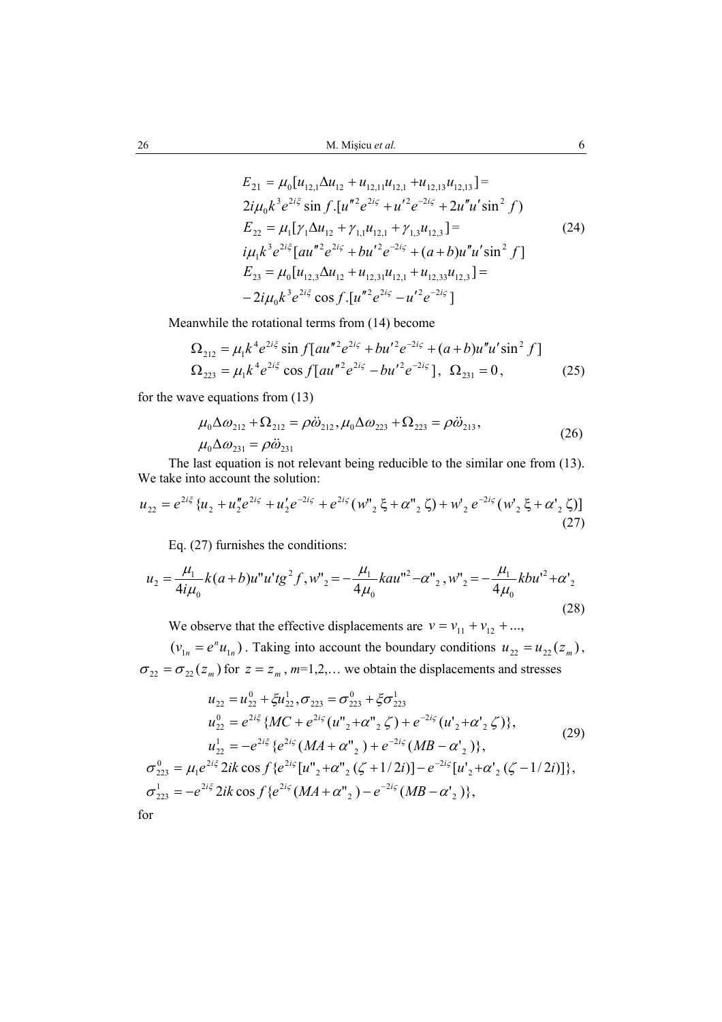$$
E_{21} = \mu_0[u_{12,1}\Delta u_{12} + u_{12,11}u_{12,1} + u_{12,13}u_{12,13}] =
$$
  
\n
$$
2i\mu_0 k^3 e^{2i\xi} \sin f \cdot [u''^2 e^{2i\xi} + u'^2 e^{-2i\xi} + 2u''u' \sin^2 f]
$$
  
\n
$$
E_{22} = \mu_1[\gamma_1 \Delta u_{12} + \gamma_{1,1}u_{12,1} + \gamma_{1,3}u_{12,3}] =
$$
  
\n
$$
i\mu_1 k^3 e^{2i\xi} [au''^2 e^{2i\xi} + bu'^2 e^{-2i\xi} + (a+b)u''u' \sin^2 f]
$$
  
\n
$$
E_{23} = \mu_0[u_{12,3}\Delta u_{12} + u_{12,31}u_{12,1} + u_{12,33}u_{12,3}] =
$$
  
\n
$$
-2i\mu_0 k^3 e^{2i\xi} \cos f \cdot [u''^2 e^{2i\xi} - u'^2 e^{-2i\xi}]
$$

Meanwhile the rotational terms from (14) become

$$
\Omega_{212} = \mu_1 k^4 e^{2i\xi} \sin f [au''^2 e^{2i\zeta} + bu'^2 e^{-2i\zeta} + (a+b)u''u' \sin^2 f]
$$
  
\n
$$
\Omega_{223} = \mu_1 k^4 e^{2i\xi} \cos f [au''^2 e^{2i\zeta} - bu'^2 e^{-2i\zeta} ], \ \Omega_{231} = 0,
$$
\n(25)

for the wave equations from (13)

$$
\mu_0 \Delta \omega_{212} + \Omega_{212} = \rho \ddot{\omega}_{212}, \mu_0 \Delta \omega_{223} + \Omega_{223} = \rho \ddot{\omega}_{213}, \n\mu_0 \Delta \omega_{231} = \rho \ddot{\omega}_{231}
$$
\n(26)

The last equation is not relevant being reducible to the similar one from (13). We take into account the solution:

$$
u_{22} = e^{2i\xi} \{ u_2 + u_2'' e^{2i\zeta} + u_2' e^{-2i\zeta} + e^{2i\zeta} (w_{2}'' \xi + \alpha_{2}'' \zeta) + w_2' e^{-2i\zeta} (w_2' \xi + \alpha_{2}' \zeta) \}
$$
\n(27)

Eq. (27) furnishes the conditions:

$$
u_2 = \frac{\mu_1}{4i\mu_0}k(a+b)u''u'tg^2f, w''_2 = -\frac{\mu_1}{4\mu_0}kau''^2 - \alpha''_2, w''_2 = -\frac{\mu_1}{4\mu_0}kbu'^2 + \alpha'_2
$$
\n(28)

We observe that the effective displacements are  $v = v_{11} + v_{12} + ...$ ,

 $(v_{1n} = e^n u_{1n})$ . Taking into account the boundary conditions  $u_{22} = u_{22}(z_m)$ ,  $\sigma_{22} = \sigma_{22}(z_m)$  for  $z = z_m$ ,  $m=1,2,...$  we obtain the displacements and stresses

$$
u_{22} = u_{22}^{0} + \xi u_{22}^{1}, \sigma_{223} = \sigma_{223}^{0} + \xi \sigma_{223}^{1}
$$
  
\n
$$
u_{22}^{0} = e^{2i\xi} \{MC + e^{2i\varsigma}(u''_{2} + \alpha''_{2} \zeta) + e^{-2i\varsigma}(u'_{2} + \alpha'_{2} \zeta) \},
$$
  
\n
$$
u_{22}^{1} = -e^{2i\xi} \{e^{2i\varsigma}(MA + \alpha''_{2}) + e^{-2i\varsigma}(MB - \alpha'_{2}) \},
$$
  
\n
$$
\sigma_{223}^{0} = \mu_{1}e^{2i\xi} 2ik \cos f \{e^{2i\varsigma}[u''_{2} + \alpha''_{2}(\zeta + 1/2i)] - e^{-2i\varsigma}[u'_{2} + \alpha'_{2}(\zeta - 1/2i)] \},
$$
  
\n
$$
\sigma_{223}^{1} = -e^{2i\xi} 2ik \cos f \{e^{2i\varsigma}(MA + \alpha''_{2}) - e^{-2i\varsigma}(MB - \alpha'_{2}) \},
$$
  
\nfor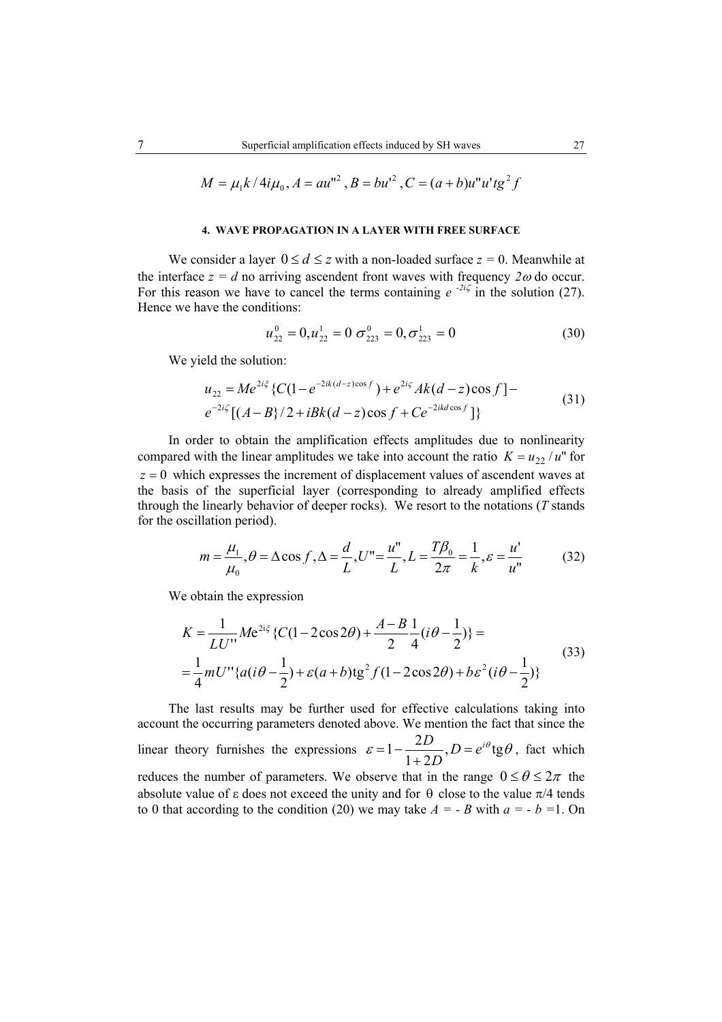$$
M = \mu_1 k / 4i\mu_0, A = au''^2, B = bu'^2, C = (a+b)u''u'tg^2f
$$

#### **4. WAVE PROPAGATION IN A LAYER WITH FREE SURFACE**

We consider a layer  $0 \le d \le z$  with a non-loaded surface  $z = 0$ . Meanwhile at the interface  $z = d$  no arriving ascendent front waves with frequency  $2\omega$  do occur. For this reason we have to cancel the terms containing  $e^{-2i\zeta}$  in the solution (27). Hence we have the conditions:

$$
u_{22}^0 = 0, u_{22}^1 = 0 \sigma_{223}^0 = 0, \sigma_{223}^1 = 0 \tag{30}
$$

We yield the solution:

$$
u_{22} = Me^{2i\xi} \{ C(1 - e^{-2ik(d-z)\cos f}) + e^{2i\zeta} Ak(d-z)\cos f \} -
$$
  

$$
e^{-2i\zeta} [(A-B)/2 + iBk(d-z)\cos f + Ce^{-2ikd\cos f}] \}
$$
 (31)

In order to obtain the amplification effects amplitudes due to nonlinearity compared with the linear amplitudes we take into account the ratio  $K = u_{22}/u^2$  for *z* = 0 which expresses the increment of displacement values of ascendent waves at the basis of the superficial layer (corresponding to already amplified effects through the linearly behavior of deeper rocks). We resort to the notations (*T* stands for the oscillation period).

$$
m = \frac{\mu_1}{\mu_0}, \theta = \Delta \cos f, \Delta = \frac{d}{L}, U'' = \frac{u''}{L}, L = \frac{T\beta_0}{2\pi} = \frac{1}{k}, \varepsilon = \frac{u'}{u''}
$$
(32)

We obtain the expression

$$
K = \frac{1}{LU'} Me^{2i\xi} \{C(1 - 2\cos 2\theta) + \frac{A - B}{2}\frac{1}{4}(i\theta - \frac{1}{2})\} =
$$
  
=  $\frac{1}{4}mU'' \{a(i\theta - \frac{1}{2}) + \varepsilon(a+b)tg^2 f(1 - 2\cos 2\theta) + b\varepsilon^2 (i\theta - \frac{1}{2})\}$  (33)

The last results may be further used for effective calculations taking into account the occurring parameters denoted above. We mention the fact that since the linear theory furnishes the expressions  $\varepsilon = 1 - \frac{2D}{1 + 2D}$ ,  $D = e^{i\theta} \text{tg } \theta$  $= 1 - \frac{2D}{1 + 2D}$ ,  $D = e^{i\theta}$ tg $\theta$ , fact which reduces the number of parameters. We observe that in the range  $0 \le \theta \le 2\pi$  the absolute value of  $\varepsilon$  does not exceed the unity and for  $\theta$  close to the value  $\pi/4$  tends to 0 that according to the condition (20) we may take  $A = -B$  with  $a = -b = 1$ . On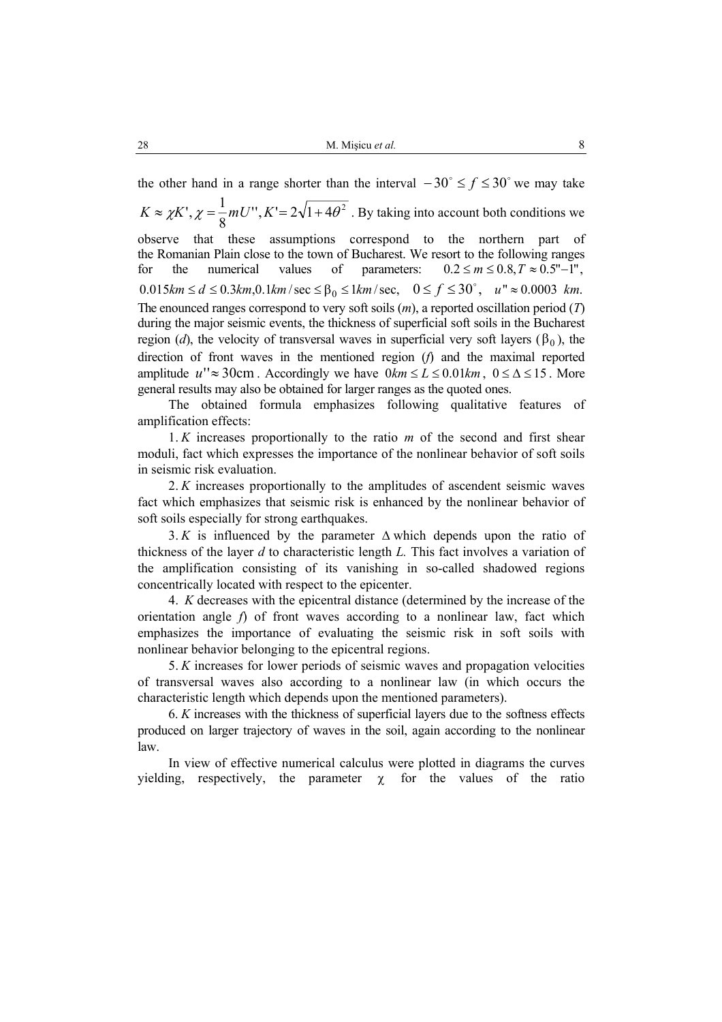the other hand in a range shorter than the interval  $-30^\circ \le f \le 30^\circ$  we may take  $T, K' = 2\sqrt{1 + 4\theta^2}$ 8  $K \approx \chi K'$ ,  $\chi = \frac{1}{2} mU''$ ,  $K' = 2\sqrt{1 + 4\theta^2}$ . By taking into account both conditions we observe that these assumptions correspond to the northern part of the Romanian Plain close to the town of Bucharest. We resort to the following ranges for the numerical values of parameters:  $0.2 \le m \le 0.8$ ,  $T \approx 0.5$ "-1",  $0.015 km \le d \le 0.3 km, 0.1 km/sec \le \beta_0 \le 1 km/sec, \quad 0 \le f \le 30^{\circ}, \quad u'' \approx 0.0003 km.$ The enounced ranges correspond to very soft soils (*m*), a reported oscillation period (*T*) during the major seismic events, the thickness of superficial soft soils in the Bucharest region (*d*), the velocity of transversal waves in superficial very soft layers ( $\beta_0$ ), the direction of front waves in the mentioned region (*f*) and the maximal reported amplitude  $u'' \approx 30$ cm. Accordingly we have  $0km \le L \le 0.01km$ ,  $0 \le \Delta \le 15$ . More general results may also be obtained for larger ranges as the quoted ones.

The obtained formula emphasizes following qualitative features of amplification effects:

1. *K* increases proportionally to the ratio *m* of the second and first shear moduli, fact which expresses the importance of the nonlinear behavior of soft soils in seismic risk evaluation.

2. *K* increases proportionally to the amplitudes of ascendent seismic waves fact which emphasizes that seismic risk is enhanced by the nonlinear behavior of soft soils especially for strong earthquakes.

3. *K* is influenced by the parameter ∆ which depends upon the ratio of thickness of the layer *d* to characteristic length *L.* This fact involves a variation of the amplification consisting of its vanishing in so-called shadowed regions concentrically located with respect to the epicenter.

4. *K* decreases with the epicentral distance (determined by the increase of the orientation angle *f*) of front waves according to a nonlinear law, fact which emphasizes the importance of evaluating the seismic risk in soft soils with nonlinear behavior belonging to the epicentral regions.

5. *K* increases for lower periods of seismic waves and propagation velocities of transversal waves also according to a nonlinear law (in which occurs the characteristic length which depends upon the mentioned parameters).

6. *K* increases with the thickness of superficial layers due to the softness effects produced on larger trajectory of waves in the soil, again according to the nonlinear law.

In view of effective numerical calculus were plotted in diagrams the curves yielding, respectively, the parameter  $\chi$  for the values of the ratio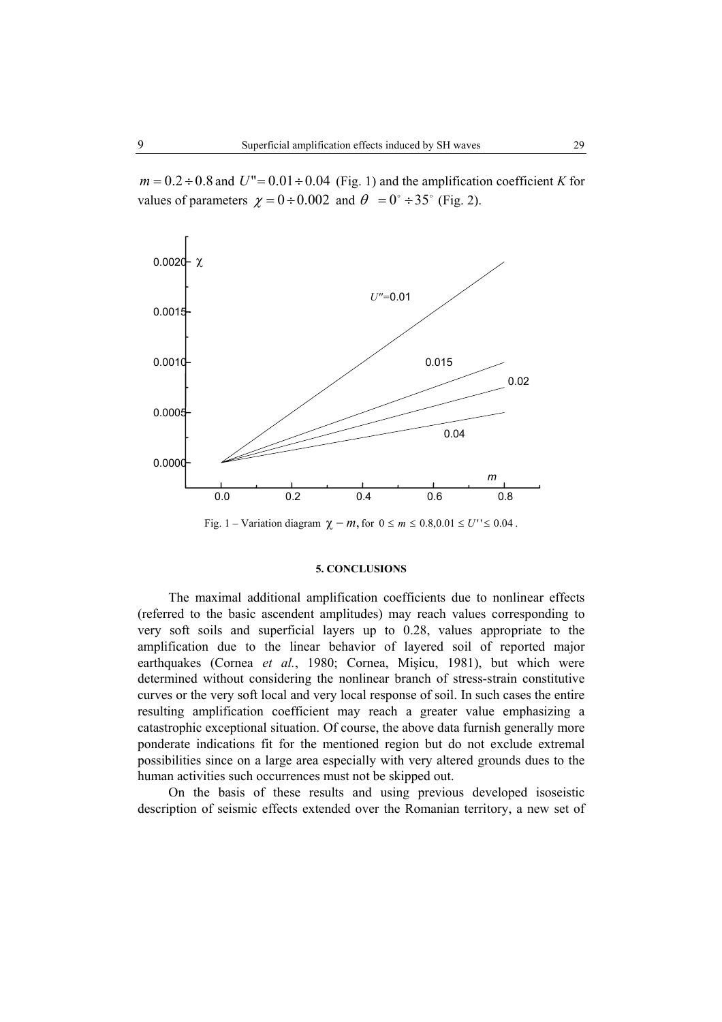$m = 0.2 \div 0.8$  and  $U'' = 0.01 \div 0.04$  (Fig. 1) and the amplification coefficient *K* for values of parameters  $\chi = 0 \div 0.002$  and  $\theta = 0^\circ \div 35^\circ$  (Fig. 2).



Fig. 1 – Variation diagram  $\chi - m$ , for  $0 \le m \le 0.8, 0.01 \le U'' \le 0.04$ .

# **5. CONCLUSIONS**

The maximal additional amplification coefficients due to nonlinear effects (referred to the basic ascendent amplitudes) may reach values corresponding to very soft soils and superficial layers up to 0.28, values appropriate to the amplification due to the linear behavior of layered soil of reported major earthquakes (Cornea *et al.*, 1980; Cornea, Mişicu, 1981), but which were determined without considering the nonlinear branch of stress-strain constitutive curves or the very soft local and very local response of soil. In such cases the entire resulting amplification coefficient may reach a greater value emphasizing a catastrophic exceptional situation. Of course, the above data furnish generally more ponderate indications fit for the mentioned region but do not exclude extremal possibilities since on a large area especially with very altered grounds dues to the human activities such occurrences must not be skipped out.

On the basis of these results and using previous developed isoseistic description of seismic effects extended over the Romanian territory, a new set of